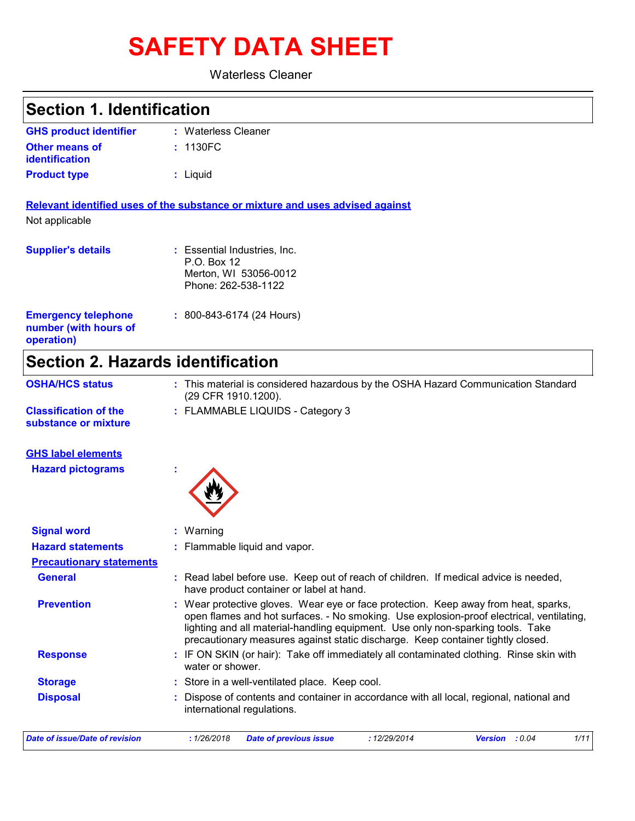# **SAFETY DATA SHEET**

Waterless Cleaner

**Section 1. Identification**

| <b>GHS product identifier</b>                                     | : Waterless Cleaner                                                                                                                                                                                                                                                                                                                                   |
|-------------------------------------------------------------------|-------------------------------------------------------------------------------------------------------------------------------------------------------------------------------------------------------------------------------------------------------------------------------------------------------------------------------------------------------|
| <b>Other means of</b><br>identification                           | : 1130FC                                                                                                                                                                                                                                                                                                                                              |
| <b>Product type</b>                                               | : Liquid                                                                                                                                                                                                                                                                                                                                              |
|                                                                   | Relevant identified uses of the substance or mixture and uses advised against                                                                                                                                                                                                                                                                         |
| Not applicable                                                    |                                                                                                                                                                                                                                                                                                                                                       |
| <b>Supplier's details</b>                                         | : Essential Industries, Inc.<br>P.O. Box 12<br>Merton, WI 53056-0012<br>Phone: 262-538-1122                                                                                                                                                                                                                                                           |
| <b>Emergency telephone</b><br>number (with hours of<br>operation) | $: 800 - 843 - 6174 (24$ Hours)                                                                                                                                                                                                                                                                                                                       |
| <b>Section 2. Hazards identification</b>                          |                                                                                                                                                                                                                                                                                                                                                       |
| <b>OSHA/HCS status</b>                                            | : This material is considered hazardous by the OSHA Hazard Communication Standard<br>(29 CFR 1910.1200).                                                                                                                                                                                                                                              |
| <b>Classification of the</b><br>substance or mixture              | : FLAMMABLE LIQUIDS - Category 3                                                                                                                                                                                                                                                                                                                      |
| <b>GHS label elements</b>                                         |                                                                                                                                                                                                                                                                                                                                                       |
| <b>Hazard pictograms</b>                                          |                                                                                                                                                                                                                                                                                                                                                       |
| <b>Signal word</b>                                                | Warning                                                                                                                                                                                                                                                                                                                                               |
| <b>Hazard statements</b>                                          | Flammable liquid and vapor.                                                                                                                                                                                                                                                                                                                           |
| <b>Precautionary statements</b>                                   |                                                                                                                                                                                                                                                                                                                                                       |
| <b>General</b>                                                    | : Read label before use. Keep out of reach of children. If medical advice is needed,<br>have product container or label at hand.                                                                                                                                                                                                                      |
| <b>Prevention</b>                                                 | : Wear protective gloves. Wear eye or face protection. Keep away from heat, sparks,<br>open flames and hot surfaces. - No smoking. Use explosion-proof electrical, ventilating,<br>lighting and all material-handling equipment. Use only non-sparking tools. Take<br>precautionary measures against static discharge. Keep container tightly closed. |
| <b>Response</b>                                                   | : IF ON SKIN (or hair): Take off immediately all contaminated clothing. Rinse skin with<br>water or shower.                                                                                                                                                                                                                                           |
| <b>Storage</b>                                                    | : Store in a well-ventilated place. Keep cool.                                                                                                                                                                                                                                                                                                        |
| <b>Disposal</b>                                                   | Dispose of contents and container in accordance with all local, regional, national and<br>international regulations.                                                                                                                                                                                                                                  |
| <b>Date of issue/Date of revision</b>                             | : 12/29/2014<br>1/11<br>: 1/26/2018<br><b>Date of previous issue</b><br>Version : 0.04                                                                                                                                                                                                                                                                |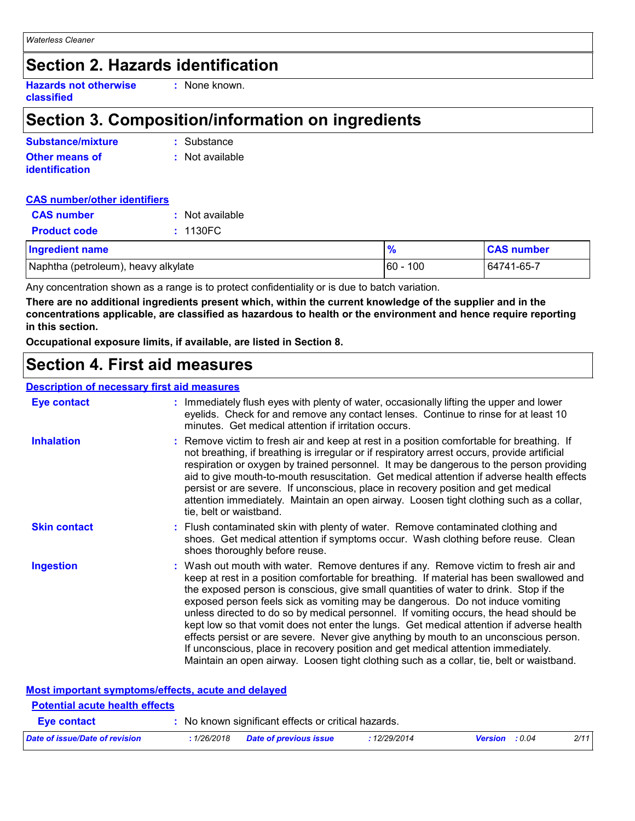# **Section 2. Hazards identification**

**Hazards not otherwise classified**

**:** None known.

### **Section 3. Composition/information on ingredients**

| Substance/mixture                              | : Substance     |
|------------------------------------------------|-----------------|
| <b>Other means of</b><br><b>identification</b> | : Not available |
|                                                |                 |

#### **CAS number/other identifiers**

| <b>CAS number</b>                   | : Not available |               |                   |
|-------------------------------------|-----------------|---------------|-------------------|
| <b>Product code</b>                 | : 1130FC        |               |                   |
| <b>Ingredient name</b>              |                 | $\frac{9}{6}$ | <b>CAS number</b> |
| Naphtha (petroleum), heavy alkylate |                 | $60 - 100$    | 64741-65-7        |

Any concentration shown as a range is to protect confidentiality or is due to batch variation.

**There are no additional ingredients present which, within the current knowledge of the supplier and in the concentrations applicable, are classified as hazardous to health or the environment and hence require reporting in this section.**

**Occupational exposure limits, if available, are listed in Section 8.**

### **Section 4. First aid measures**

#### **Description of necessary first aid measures**

| <b>Eye contact</b>  | : Immediately flush eyes with plenty of water, occasionally lifting the upper and lower<br>eyelids. Check for and remove any contact lenses. Continue to rinse for at least 10<br>minutes. Get medical attention if irritation occurs.                                                                                                                                                                                                                                                                                                                                                                                                                                                                                                                                                                                    |
|---------------------|---------------------------------------------------------------------------------------------------------------------------------------------------------------------------------------------------------------------------------------------------------------------------------------------------------------------------------------------------------------------------------------------------------------------------------------------------------------------------------------------------------------------------------------------------------------------------------------------------------------------------------------------------------------------------------------------------------------------------------------------------------------------------------------------------------------------------|
| <b>Inhalation</b>   | : Remove victim to fresh air and keep at rest in a position comfortable for breathing. If<br>not breathing, if breathing is irregular or if respiratory arrest occurs, provide artificial<br>respiration or oxygen by trained personnel. It may be dangerous to the person providing<br>aid to give mouth-to-mouth resuscitation. Get medical attention if adverse health effects<br>persist or are severe. If unconscious, place in recovery position and get medical<br>attention immediately. Maintain an open airway. Loosen tight clothing such as a collar,<br>tie, belt or waistband.                                                                                                                                                                                                                              |
| <b>Skin contact</b> | : Flush contaminated skin with plenty of water. Remove contaminated clothing and<br>shoes. Get medical attention if symptoms occur. Wash clothing before reuse. Clean<br>shoes thoroughly before reuse.                                                                                                                                                                                                                                                                                                                                                                                                                                                                                                                                                                                                                   |
| <b>Ingestion</b>    | : Wash out mouth with water. Remove dentures if any. Remove victim to fresh air and<br>keep at rest in a position comfortable for breathing. If material has been swallowed and<br>the exposed person is conscious, give small quantities of water to drink. Stop if the<br>exposed person feels sick as vomiting may be dangerous. Do not induce vomiting<br>unless directed to do so by medical personnel. If vomiting occurs, the head should be<br>kept low so that vomit does not enter the lungs. Get medical attention if adverse health<br>effects persist or are severe. Never give anything by mouth to an unconscious person.<br>If unconscious, place in recovery position and get medical attention immediately.<br>Maintain an open airway. Loosen tight clothing such as a collar, tie, belt or waistband. |

| Most important symptoms/effects, acute and delayed |             |                                                     |              |                       |      |
|----------------------------------------------------|-------------|-----------------------------------------------------|--------------|-----------------------|------|
| <b>Potential acute health effects</b>              |             |                                                     |              |                       |      |
| <b>Eve contact</b>                                 |             | : No known significant effects or critical hazards. |              |                       |      |
| Date of issue/Date of revision                     | : 1/26/2018 | <b>Date of previous issue</b>                       | : 12/29/2014 | <b>Version</b> : 0.04 | 2/11 |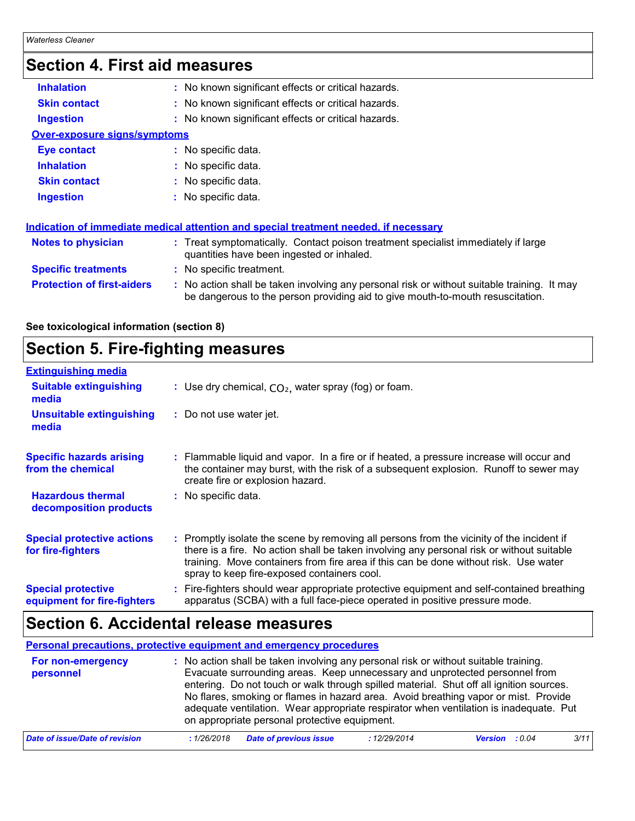# **Section 4. First aid measures**

| <b>Inhalation</b>                   | : No known significant effects or critical hazards.                                                                                                                           |
|-------------------------------------|-------------------------------------------------------------------------------------------------------------------------------------------------------------------------------|
| <b>Skin contact</b>                 | : No known significant effects or critical hazards.                                                                                                                           |
| <b>Ingestion</b>                    | : No known significant effects or critical hazards.                                                                                                                           |
| <b>Over-exposure signs/symptoms</b> |                                                                                                                                                                               |
| Eye contact                         | : No specific data.                                                                                                                                                           |
| <b>Inhalation</b>                   | : No specific data.                                                                                                                                                           |
| <b>Skin contact</b>                 | : No specific data.                                                                                                                                                           |
| <b>Ingestion</b>                    | : No specific data.                                                                                                                                                           |
|                                     | Indication of immediate medical attention and special treatment needed, if necessary                                                                                          |
| <b>Notes to physician</b>           | : Treat symptomatically. Contact poison treatment specialist immediately if large<br>quantities have been ingested or inhaled.                                                |
| <b>Specific treatments</b>          | : No specific treatment.                                                                                                                                                      |
| <b>Protection of first-aiders</b>   | : No action shall be taken involving any personal risk or without suitable training. It may<br>be dangerous to the person providing aid to give mouth-to-mouth resuscitation. |

**See toxicological information (section 8)**

### **Section 5. Fire-fighting measures**

| <b>Extinguishing media</b>                               |                                                                                                                                                                                                                                                                                                                               |
|----------------------------------------------------------|-------------------------------------------------------------------------------------------------------------------------------------------------------------------------------------------------------------------------------------------------------------------------------------------------------------------------------|
| <b>Suitable extinguishing</b><br>media                   | : Use dry chemical, $CO2$ , water spray (fog) or foam.                                                                                                                                                                                                                                                                        |
| Unsuitable extinguishing<br>media                        | : Do not use water jet.                                                                                                                                                                                                                                                                                                       |
| <b>Specific hazards arising</b><br>from the chemical     | : Flammable liquid and vapor. In a fire or if heated, a pressure increase will occur and<br>the container may burst, with the risk of a subsequent explosion. Runoff to sewer may<br>create fire or explosion hazard.                                                                                                         |
| <b>Hazardous thermal</b><br>decomposition products       | : No specific data.                                                                                                                                                                                                                                                                                                           |
| <b>Special protective actions</b><br>for fire-fighters   | : Promptly isolate the scene by removing all persons from the vicinity of the incident if<br>there is a fire. No action shall be taken involving any personal risk or without suitable<br>training. Move containers from fire area if this can be done without risk. Use water<br>spray to keep fire-exposed containers cool. |
| <b>Special protective</b><br>equipment for fire-fighters | : Fire-fighters should wear appropriate protective equipment and self-contained breathing<br>apparatus (SCBA) with a full face-piece operated in positive pressure mode.                                                                                                                                                      |

### **Section 6. Accidental release measures**

**Personal precautions, protective equipment and emergency procedures**

| For non-emergency<br>personnel        | : No action shall be taken involving any personal risk or without suitable training.<br>Evacuate surrounding areas. Keep unnecessary and unprotected personnel from<br>entering. Do not touch or walk through spilled material. Shut off all ignition sources.<br>No flares, smoking or flames in hazard area. Avoid breathing vapor or mist. Provide<br>adequate ventilation. Wear appropriate respirator when ventilation is inadequate. Put<br>on appropriate personal protective equipment. |
|---------------------------------------|-------------------------------------------------------------------------------------------------------------------------------------------------------------------------------------------------------------------------------------------------------------------------------------------------------------------------------------------------------------------------------------------------------------------------------------------------------------------------------------------------|
| <b>Date of issue/Date of revision</b> | <b>Date of previous issue</b><br>3/11<br>: 12/29/2014<br><b>Version</b> : 0.04<br>:1/26/2018                                                                                                                                                                                                                                                                                                                                                                                                    |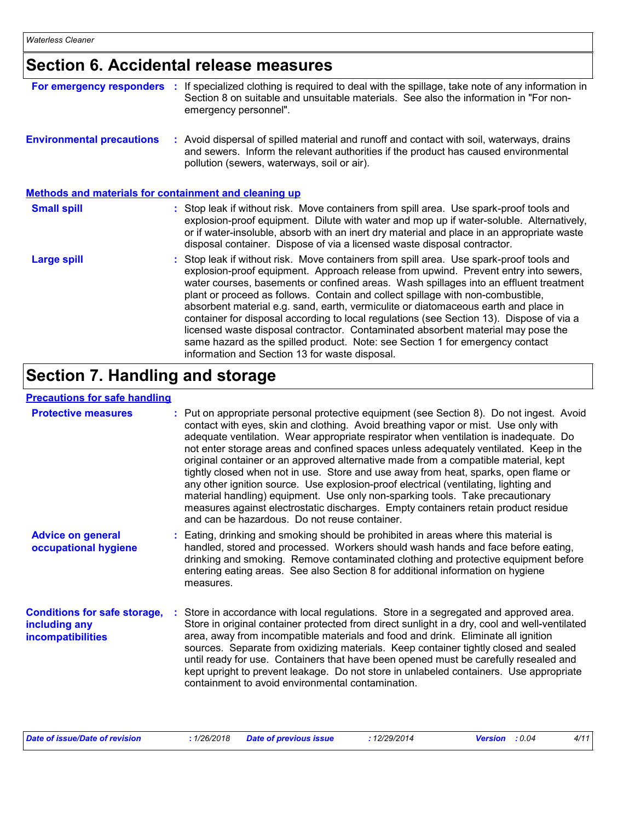# **Section 6. Accidental release measures**

| For emergency responders                                     | ÷. | If specialized clothing is required to deal with the spillage, take note of any information in<br>Section 8 on suitable and unsuitable materials. See also the information in "For non-<br>emergency personnel".                                                                                                                                                                                                                                                                                                                                                                                                                                                                                                                                                     |
|--------------------------------------------------------------|----|----------------------------------------------------------------------------------------------------------------------------------------------------------------------------------------------------------------------------------------------------------------------------------------------------------------------------------------------------------------------------------------------------------------------------------------------------------------------------------------------------------------------------------------------------------------------------------------------------------------------------------------------------------------------------------------------------------------------------------------------------------------------|
| <b>Environmental precautions</b>                             |    | : Avoid dispersal of spilled material and runoff and contact with soil, waterways, drains<br>and sewers. Inform the relevant authorities if the product has caused environmental<br>pollution (sewers, waterways, soil or air).                                                                                                                                                                                                                                                                                                                                                                                                                                                                                                                                      |
| <b>Methods and materials for containment and cleaning up</b> |    |                                                                                                                                                                                                                                                                                                                                                                                                                                                                                                                                                                                                                                                                                                                                                                      |
| <b>Small spill</b>                                           |    | : Stop leak if without risk. Move containers from spill area. Use spark-proof tools and<br>explosion-proof equipment. Dilute with water and mop up if water-soluble. Alternatively,<br>or if water-insoluble, absorb with an inert dry material and place in an appropriate waste<br>disposal container. Dispose of via a licensed waste disposal contractor.                                                                                                                                                                                                                                                                                                                                                                                                        |
| <b>Large spill</b>                                           |    | : Stop leak if without risk. Move containers from spill area. Use spark-proof tools and<br>explosion-proof equipment. Approach release from upwind. Prevent entry into sewers,<br>water courses, basements or confined areas. Wash spillages into an effluent treatment<br>plant or proceed as follows. Contain and collect spillage with non-combustible,<br>absorbent material e.g. sand, earth, vermiculite or diatomaceous earth and place in<br>container for disposal according to local regulations (see Section 13). Dispose of via a<br>licensed waste disposal contractor. Contaminated absorbent material may pose the<br>same hazard as the spilled product. Note: see Section 1 for emergency contact<br>information and Section 13 for waste disposal. |

# **Section 7. Handling and storage**

#### **Precautions for safe handling**

| <b>Protective measures</b>                                                | : Put on appropriate personal protective equipment (see Section 8). Do not ingest. Avoid<br>contact with eyes, skin and clothing. Avoid breathing vapor or mist. Use only with<br>adequate ventilation. Wear appropriate respirator when ventilation is inadequate. Do<br>not enter storage areas and confined spaces unless adequately ventilated. Keep in the<br>original container or an approved alternative made from a compatible material, kept<br>tightly closed when not in use. Store and use away from heat, sparks, open flame or<br>any other ignition source. Use explosion-proof electrical (ventilating, lighting and<br>material handling) equipment. Use only non-sparking tools. Take precautionary<br>measures against electrostatic discharges. Empty containers retain product residue<br>and can be hazardous. Do not reuse container. |
|---------------------------------------------------------------------------|---------------------------------------------------------------------------------------------------------------------------------------------------------------------------------------------------------------------------------------------------------------------------------------------------------------------------------------------------------------------------------------------------------------------------------------------------------------------------------------------------------------------------------------------------------------------------------------------------------------------------------------------------------------------------------------------------------------------------------------------------------------------------------------------------------------------------------------------------------------|
| <b>Advice on general</b><br>occupational hygiene                          | : Eating, drinking and smoking should be prohibited in areas where this material is<br>handled, stored and processed. Workers should wash hands and face before eating,<br>drinking and smoking. Remove contaminated clothing and protective equipment before<br>entering eating areas. See also Section 8 for additional information on hygiene<br>measures.                                                                                                                                                                                                                                                                                                                                                                                                                                                                                                 |
| <b>Conditions for safe storage,</b><br>including any<br>incompatibilities | Store in accordance with local regulations. Store in a segregated and approved area.<br>Store in original container protected from direct sunlight in a dry, cool and well-ventilated<br>area, away from incompatible materials and food and drink. Eliminate all ignition<br>sources. Separate from oxidizing materials. Keep container tightly closed and sealed<br>until ready for use. Containers that have been opened must be carefully resealed and<br>kept upright to prevent leakage. Do not store in unlabeled containers. Use appropriate<br>containment to avoid environmental contamination.                                                                                                                                                                                                                                                     |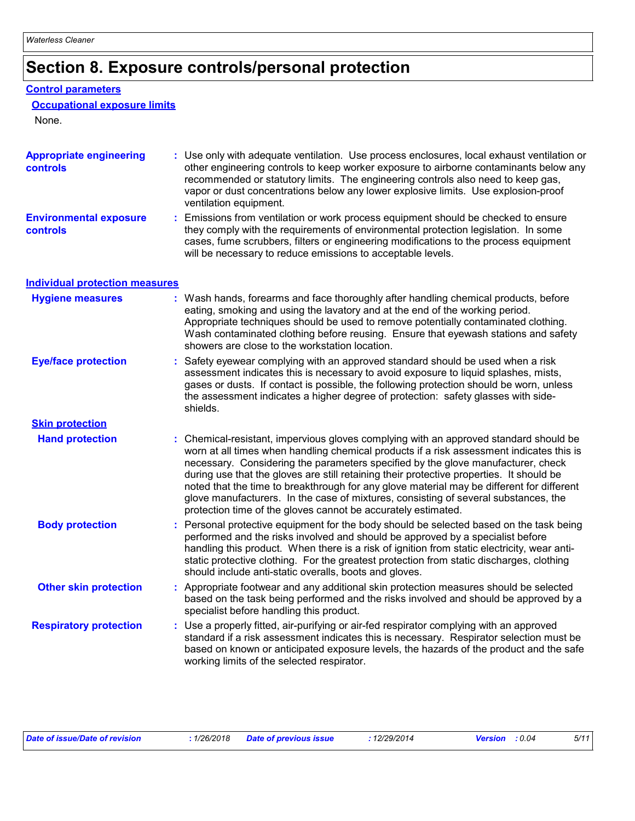# **Section 8. Exposure controls/personal protection**

#### **Control parameters**

| <b>Occupational exposure limits</b> |
|-------------------------------------|
|-------------------------------------|

None.

| <b>Appropriate engineering</b><br><b>controls</b> | : Use only with adequate ventilation. Use process enclosures, local exhaust ventilation or<br>other engineering controls to keep worker exposure to airborne contaminants below any<br>recommended or statutory limits. The engineering controls also need to keep gas,<br>vapor or dust concentrations below any lower explosive limits. Use explosion-proof<br>ventilation equipment.                                                                                                                                                                                                                                |
|---------------------------------------------------|------------------------------------------------------------------------------------------------------------------------------------------------------------------------------------------------------------------------------------------------------------------------------------------------------------------------------------------------------------------------------------------------------------------------------------------------------------------------------------------------------------------------------------------------------------------------------------------------------------------------|
| <b>Environmental exposure</b><br>controls         | : Emissions from ventilation or work process equipment should be checked to ensure<br>they comply with the requirements of environmental protection legislation. In some<br>cases, fume scrubbers, filters or engineering modifications to the process equipment<br>will be necessary to reduce emissions to acceptable levels.                                                                                                                                                                                                                                                                                        |
| <b>Individual protection measures</b>             |                                                                                                                                                                                                                                                                                                                                                                                                                                                                                                                                                                                                                        |
| <b>Hygiene measures</b>                           | : Wash hands, forearms and face thoroughly after handling chemical products, before<br>eating, smoking and using the lavatory and at the end of the working period.<br>Appropriate techniques should be used to remove potentially contaminated clothing.<br>Wash contaminated clothing before reusing. Ensure that eyewash stations and safety<br>showers are close to the workstation location.                                                                                                                                                                                                                      |
| <b>Eye/face protection</b>                        | : Safety eyewear complying with an approved standard should be used when a risk<br>assessment indicates this is necessary to avoid exposure to liquid splashes, mists,<br>gases or dusts. If contact is possible, the following protection should be worn, unless<br>the assessment indicates a higher degree of protection: safety glasses with side-<br>shields.                                                                                                                                                                                                                                                     |
| <b>Skin protection</b>                            |                                                                                                                                                                                                                                                                                                                                                                                                                                                                                                                                                                                                                        |
| <b>Hand protection</b>                            | : Chemical-resistant, impervious gloves complying with an approved standard should be<br>worn at all times when handling chemical products if a risk assessment indicates this is<br>necessary. Considering the parameters specified by the glove manufacturer, check<br>during use that the gloves are still retaining their protective properties. It should be<br>noted that the time to breakthrough for any glove material may be different for different<br>glove manufacturers. In the case of mixtures, consisting of several substances, the<br>protection time of the gloves cannot be accurately estimated. |
| <b>Body protection</b>                            | : Personal protective equipment for the body should be selected based on the task being<br>performed and the risks involved and should be approved by a specialist before<br>handling this product. When there is a risk of ignition from static electricity, wear anti-<br>static protective clothing. For the greatest protection from static discharges, clothing<br>should include anti-static overalls, boots and gloves.                                                                                                                                                                                         |
| <b>Other skin protection</b>                      | : Appropriate footwear and any additional skin protection measures should be selected<br>based on the task being performed and the risks involved and should be approved by a<br>specialist before handling this product.                                                                                                                                                                                                                                                                                                                                                                                              |
| <b>Respiratory protection</b>                     | : Use a properly fitted, air-purifying or air-fed respirator complying with an approved<br>standard if a risk assessment indicates this is necessary. Respirator selection must be<br>based on known or anticipated exposure levels, the hazards of the product and the safe<br>working limits of the selected respirator.                                                                                                                                                                                                                                                                                             |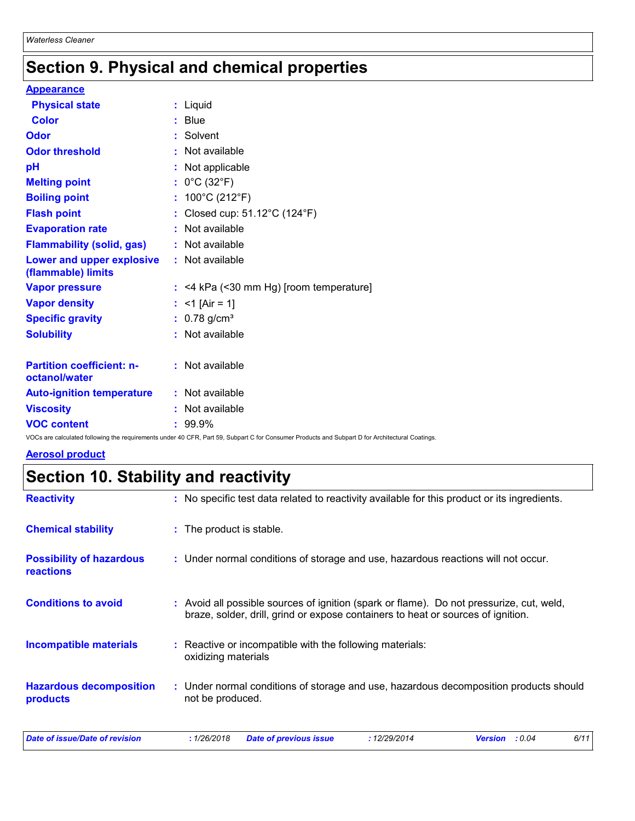# **Section 9. Physical and chemical properties**

#### **Appearance**

| <b>Physical state</b>                             |    | : Liquid                              |
|---------------------------------------------------|----|---------------------------------------|
| <b>Color</b>                                      |    | <b>Blue</b>                           |
| <b>Odor</b>                                       |    | Solvent                               |
| <b>Odor threshold</b>                             |    | : Not available                       |
| рH                                                |    | Not applicable                        |
| <b>Melting point</b>                              |    | $0^{\circ}$ C (32 $^{\circ}$ F)       |
| <b>Boiling point</b>                              | t. | 100°C (212°F)                         |
| <b>Flash point</b>                                |    | Closed cup: 51.12°C (124°F)           |
| <b>Evaporation rate</b>                           |    | Not available                         |
| <b>Flammability (solid, gas)</b>                  |    | : Not available                       |
| Lower and upper explosive<br>(flammable) limits   |    | : Not available                       |
| <b>Vapor pressure</b>                             |    | <4 kPa (<30 mm Hg) [room temperature] |
| <b>Vapor density</b>                              |    | $<$ 1 [Air = 1]                       |
| <b>Specific gravity</b>                           |    | $: 0.78$ g/cm <sup>3</sup>            |
| <b>Solubility</b>                                 |    | : Not available                       |
|                                                   |    |                                       |
| <b>Partition coefficient: n-</b><br>octanol/water |    | : Not available                       |
| <b>Auto-ignition temperature</b>                  |    | : Not available                       |
| <b>Viscosity</b>                                  |    | Not available                         |
| <b>VOC content</b>                                |    | 99.9%                                 |

VOCs are calculated following the requirements under 40 CFR, Part 59, Subpart C for Consumer Products and Subpart D for Architectural Coatings.

#### **Aerosol product**

# **Section 10. Stability and reactivity**

| <b>Reactivity</b>                            | : No specific test data related to reactivity available for this product or its ingredients.                                                                                 |
|----------------------------------------------|------------------------------------------------------------------------------------------------------------------------------------------------------------------------------|
| <b>Chemical stability</b>                    | : The product is stable.                                                                                                                                                     |
| <b>Possibility of hazardous</b><br>reactions | : Under normal conditions of storage and use, hazardous reactions will not occur.                                                                                            |
| <b>Conditions to avoid</b>                   | : Avoid all possible sources of ignition (spark or flame). Do not pressurize, cut, weld,<br>braze, solder, drill, grind or expose containers to heat or sources of ignition. |
| <b>Incompatible materials</b>                | : Reactive or incompatible with the following materials:<br>oxidizing materials                                                                                              |
| <b>Hazardous decomposition</b><br>products   | : Under normal conditions of storage and use, hazardous decomposition products should<br>not be produced.                                                                    |
| <b>Date of issue/Date of revision</b>        | : 1/26/2018<br>6/11<br>:12/29/2014<br>Version : 0.04<br><b>Date of previous issue</b>                                                                                        |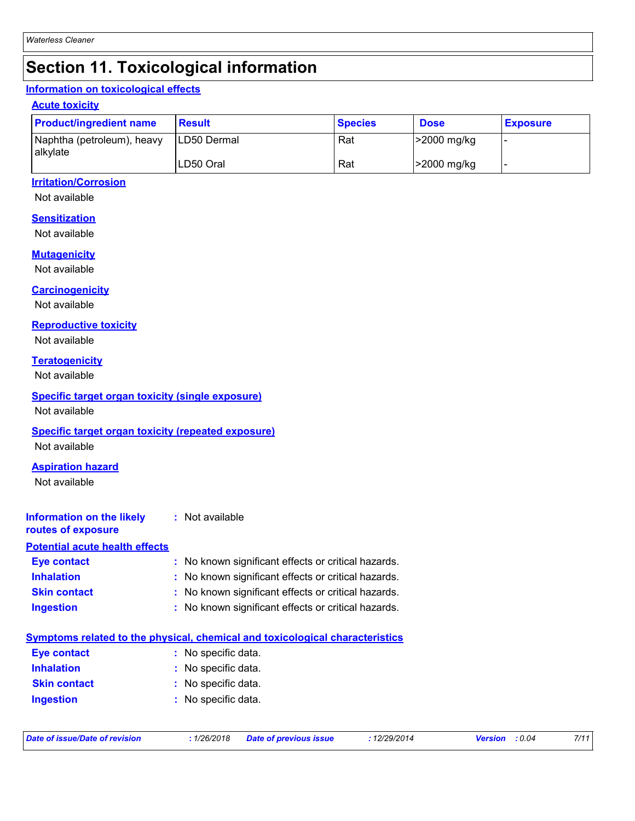## **Section 11. Toxicological information**

#### **Information on toxicological effects**

#### **Acute toxicity**

| <b>Product/ingredient name</b>                  | <b>Result</b>       | <b>Species</b> | <b>Dose</b> | <b>Exposure</b> |
|-------------------------------------------------|---------------------|----------------|-------------|-----------------|
| Naphtha (petroleum), heavy<br><b>l</b> alkvlate | <b>ILD50 Dermal</b> | Rat            | >2000 mg/kg |                 |
|                                                 | LD50 Oral           | Rat            | >2000 mg/kg |                 |

#### **Irritation/Corrosion**

Not available

#### **Sensitization**

Not available

#### **Mutagenicity**

Not available

#### **Carcinogenicity**

Not available

#### **Reproductive toxicity**

Not available

#### **Teratogenicity**

Not available

#### **Specific target organ toxicity (single exposure)**

Not available

#### **Specific target organ toxicity (repeated exposure)**

Not available

#### **Aspiration hazard**

Not available

#### **Information on the likely :** Not available

#### **routes of exposure**

| <b>Potential acute health effects</b> |                                                     |
|---------------------------------------|-----------------------------------------------------|
| Eye contact                           | : No known significant effects or critical hazards. |
| <b>Inhalation</b>                     | : No known significant effects or critical hazards. |
| <b>Skin contact</b>                   | : No known significant effects or critical hazards. |
| <b>Ingestion</b>                      | : No known significant effects or critical hazards. |

|                     | Symptoms related to the physical, chemical and toxicological characteristics |
|---------------------|------------------------------------------------------------------------------|
| Eye contact         | : No specific data.                                                          |
| <b>Inhalation</b>   | : No specific data.                                                          |
| <b>Skin contact</b> | : No specific data.                                                          |
| <b>Ingestion</b>    | : No specific data.                                                          |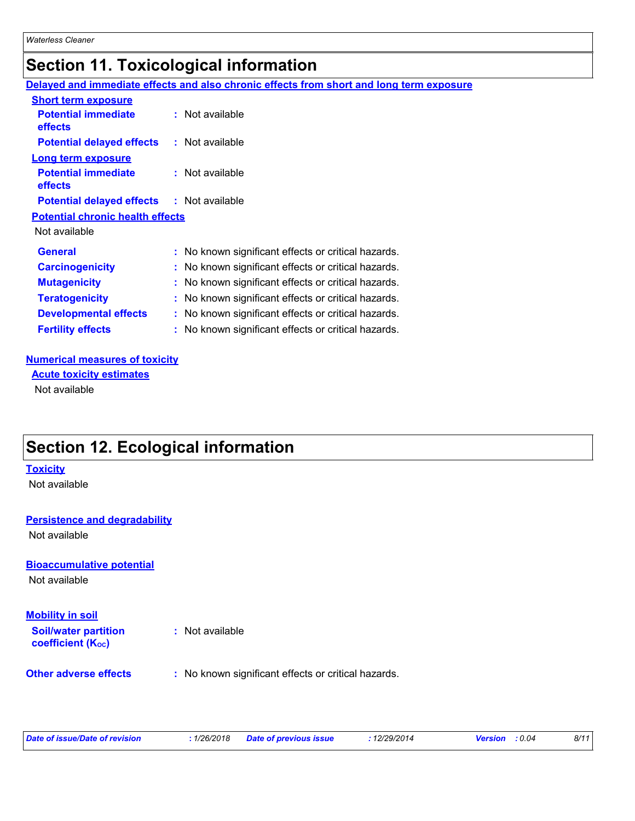### **Section 11. Toxicological information**

|                                                  | Delayed and immediate effects and also chronic effects from short and long term exposure |
|--------------------------------------------------|------------------------------------------------------------------------------------------|
| <b>Short term exposure</b>                       |                                                                                          |
| <b>Potential immediate</b><br><b>effects</b>     | : Not available                                                                          |
| <b>Potential delayed effects : Not available</b> |                                                                                          |
| <b>Long term exposure</b>                        |                                                                                          |
| <b>Potential immediate</b><br><b>effects</b>     | : Not available                                                                          |
| <b>Potential delayed effects : Not available</b> |                                                                                          |
| <b>Potential chronic health effects</b>          |                                                                                          |
| Not available                                    |                                                                                          |
| <b>General</b>                                   | : No known significant effects or critical hazards.                                      |
| <b>Carcinogenicity</b>                           | : No known significant effects or critical hazards.                                      |
| <b>Mutagenicity</b>                              | : No known significant effects or critical hazards.                                      |
| <b>Teratogenicity</b>                            | : No known significant effects or critical hazards.                                      |
| <b>Developmental effects</b>                     | : No known significant effects or critical hazards.                                      |
| <b>Fertility effects</b>                         | : No known significant effects or critical hazards.                                      |

#### **Numerical measures of toxicity**

Not available **Acute toxicity estimates**

### **Section 12. Ecological information**

#### **Toxicity**

Not available

#### **Persistence and degradability**

Not available

#### **Bioaccumulative potential**

Not available

**Soil/water partition coefficient (KOC) Mobility in soil**

**:** Not available

**Other adverse effects** : No known significant effects or critical hazards.

| Date of issue/Date of revision |  |
|--------------------------------|--|
|                                |  |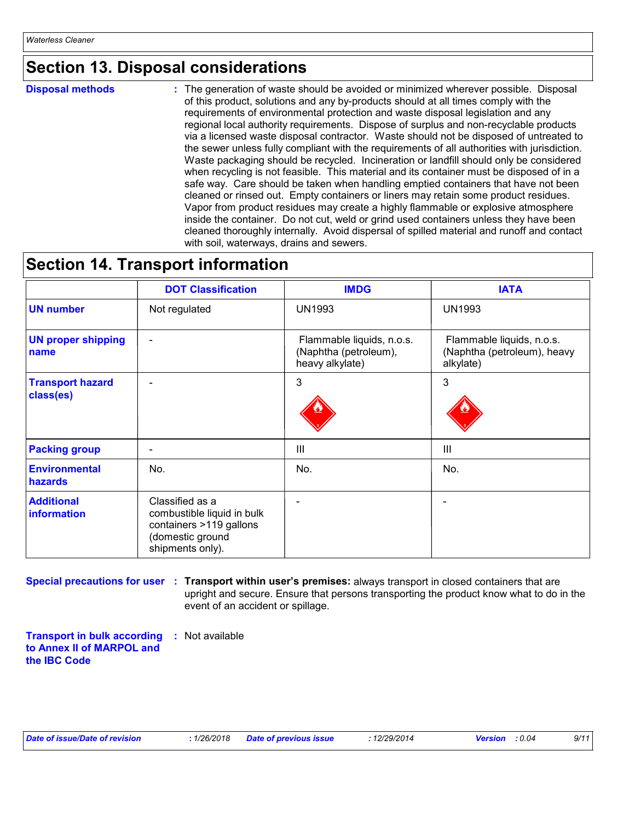### **Section 13. Disposal considerations**

**Disposal methods :**

The generation of waste should be avoided or minimized wherever possible. Disposal of this product, solutions and any by-products should at all times comply with the requirements of environmental protection and waste disposal legislation and any regional local authority requirements. Dispose of surplus and non-recyclable products via a licensed waste disposal contractor. Waste should not be disposed of untreated to the sewer unless fully compliant with the requirements of all authorities with jurisdiction. Waste packaging should be recycled. Incineration or landfill should only be considered when recycling is not feasible. This material and its container must be disposed of in a safe way. Care should be taken when handling emptied containers that have not been cleaned or rinsed out. Empty containers or liners may retain some product residues. Vapor from product residues may create a highly flammable or explosive atmosphere inside the container. Do not cut, weld or grind used containers unless they have been cleaned thoroughly internally. Avoid dispersal of spilled material and runoff and contact with soil, waterways, drains and sewers.

### **Section 14. Transport information**

|                                        | <b>DOT Classification</b>                                                                                        | <b>IMDG</b>                                                           | <b>IATA</b>                                                           |
|----------------------------------------|------------------------------------------------------------------------------------------------------------------|-----------------------------------------------------------------------|-----------------------------------------------------------------------|
| <b>UN number</b>                       | Not regulated                                                                                                    | <b>UN1993</b>                                                         | <b>UN1993</b>                                                         |
| <b>UN proper shipping</b><br>name      | ۰                                                                                                                | Flammable liquids, n.o.s.<br>(Naphtha (petroleum),<br>heavy alkylate) | Flammable liquids, n.o.s.<br>(Naphtha (petroleum), heavy<br>alkylate) |
| <b>Transport hazard</b><br>class(es)   | ۰                                                                                                                | 3                                                                     | 3                                                                     |
| <b>Packing group</b>                   | ۰                                                                                                                | Ш                                                                     | Ш                                                                     |
| <b>Environmental</b><br><b>hazards</b> | No.                                                                                                              | No.                                                                   | No.                                                                   |
| <b>Additional</b><br>information       | Classified as a<br>combustible liquid in bulk<br>containers >119 gallons<br>(domestic ground<br>shipments only). |                                                                       |                                                                       |

**Special precautions for user Transport within user's premises:** always transport in closed containers that are **:** upright and secure. Ensure that persons transporting the product know what to do in the event of an accident or spillage.

**Transport in bulk according :** Not available **to Annex II of MARPOL and the IBC Code**

|  |  |  |  | Date of issue/Date of revision |
|--|--|--|--|--------------------------------|
|--|--|--|--|--------------------------------|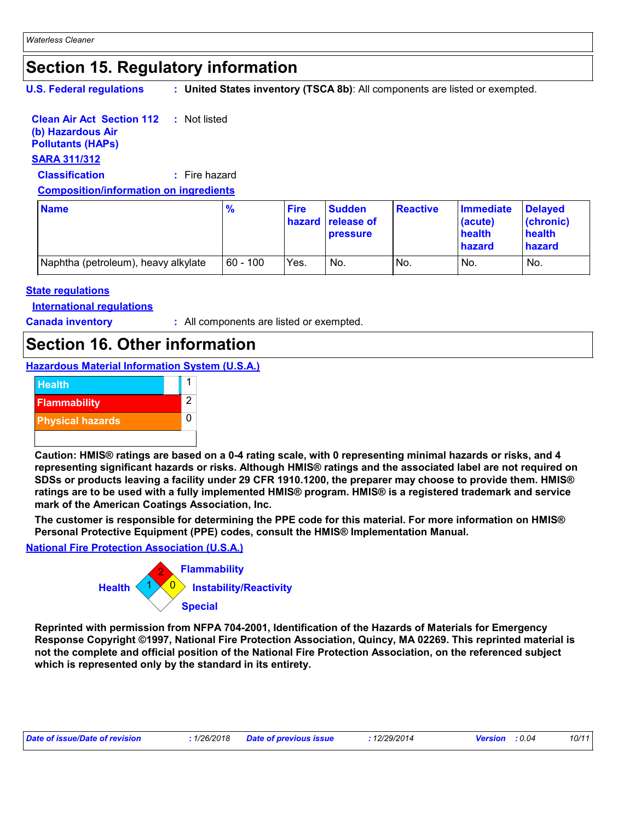# **Section 15. Regulatory information**

**U.S. Federal regulations :**

**United States inventory (TSCA 8b)**: All components are listed or exempted.

#### **Clean Air Act Section 112 (b) Hazardous Air :** Not listed

**Pollutants (HAPs)**

#### **SARA 311/312**

**Classification :** Fire hazard

**Composition/information on ingredients**

| <b>Name</b>                         | $\frac{9}{6}$ | <b>Fire</b> | <b>Sudden</b><br><b>hazard</b> release of<br><b>pressure</b> | <b>Reactive</b> | Immediate<br>(acute)<br>health<br>hazard | <b>Delayed</b><br>(chronic)<br>health<br>hazard |
|-------------------------------------|---------------|-------------|--------------------------------------------------------------|-----------------|------------------------------------------|-------------------------------------------------|
| Naphtha (petroleum), heavy alkylate | $ 60 - 100 $  | Yes.        | No.                                                          | No.             | No.                                      | No.                                             |

#### **State regulations**

**International regulations**

**Canada inventory :** All components are listed or exempted.

### **Section 16. Other information**

**Hazardous Material Information System (U.S.A.)**



**Caution: HMIS® ratings are based on a 0-4 rating scale, with 0 representing minimal hazards or risks, and 4 representing significant hazards or risks. Although HMIS® ratings and the associated label are not required on SDSs or products leaving a facility under 29 CFR 1910.1200, the preparer may choose to provide them. HMIS® ratings are to be used with a fully implemented HMIS® program. HMIS® is a registered trademark and service mark of the American Coatings Association, Inc.**

**The customer is responsible for determining the PPE code for this material. For more information on HMIS® Personal Protective Equipment (PPE) codes, consult the HMIS® Implementation Manual.**

**National Fire Protection Association (U.S.A.)**



**Reprinted with permission from NFPA 704-2001, Identification of the Hazards of Materials for Emergency Response Copyright ©1997, National Fire Protection Association, Quincy, MA 02269. This reprinted material is not the complete and official position of the National Fire Protection Association, on the referenced subject which is represented only by the standard in its entirety.**

| Date of issue/Date of revision |  | : 1/26/2018 Date of previous issue | 12/29/2014 | <b>Version</b> : 0.04 |  | 10/11 |
|--------------------------------|--|------------------------------------|------------|-----------------------|--|-------|
|--------------------------------|--|------------------------------------|------------|-----------------------|--|-------|